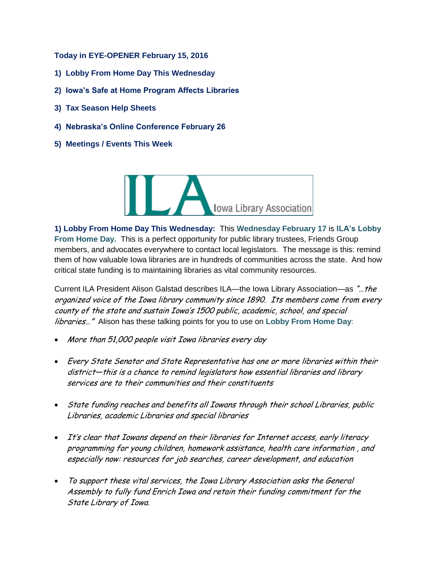**Today in EYE-OPENER February 15, 2016**

- **1) Lobby From Home Day This Wednesday**
- **2) Iowa's Safe at Home Program Affects Libraries**
- **3) Tax Season Help Sheets**
- **4) Nebraska's Online Conference February 26**
- **5) Meetings / Events This Week**



**1) Lobby From Home Day This Wednesday:** This **Wednesday February 17** is **ILA's Lobby From Home Day.** This is a perfect opportunity for public library trustees, Friends Group members, and advocates everywhere to contact local legislators. The message is this: remind them of how valuable Iowa libraries are in hundreds of communities across the state. And how critical state funding is to maintaining libraries as vital community resources.

Current ILA President Alison Galstad describes ILA—the Iowa Library Association—as "... the organized voice of the Iowa library community since 1890. Its members come from every county of the state and sustain Iowa's 1500 public, academic, school, and special libraries…" Alison has these talking points for you to use on **Lobby From Home Day**:

- More than 51,000 people visit Iowa libraries every day
- Every State Senator and State Representative has one or more libraries within their district—this is a chance to remind legislators how essential libraries and library services are to their communities and their constituents
- State funding reaches and benefits all Iowans through their school Libraries, public Libraries, academic Libraries and special libraries
- It's clear that Iowans depend on their libraries for Internet access, early literacy programming for young children, homework assistance, health care information , and especially now: resources for job searches, career development, and education
- To support these vital services, the Iowa Library Association asks the General Assembly to fully fund Enrich Iowa and retain their funding commitment for the State Library of Iowa.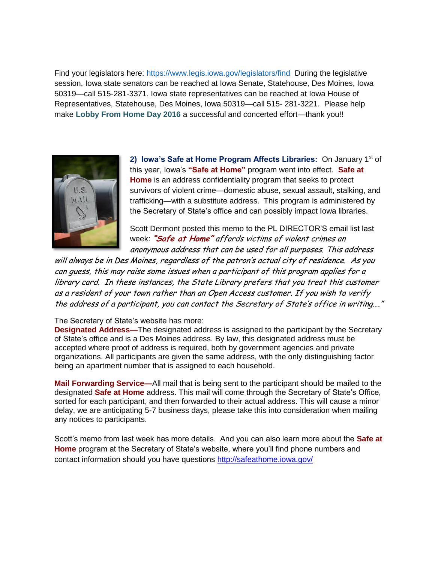Find your legislators here:<https://www.legis.iowa.gov/legislators/find>During the legislative session, Iowa state senators can be reached at Iowa Senate, Statehouse, Des Moines, Iowa 50319—call 515-281-3371. Iowa state representatives can be reached at Iowa House of Representatives, Statehouse, Des Moines, Iowa 50319—call 515- 281-3221. Please help make **Lobby From Home Day 2016** a successful and concerted effort—thank you!!



2) Iowa's Safe at Home Program Affects Libraries: On January 1<sup>st</sup> of this year, Iowa's **"Safe at Home"** program went into effect. **Safe at Home** is an address confidentiality program that seeks to protect survivors of violent crime—domestic abuse, sexual assault, stalking, and trafficking—with a substitute address. This program is administered by the Secretary of State's office and can possibly impact Iowa libraries.

Scott Dermont posted this memo to the PL DIRECTOR'S email list last week: **"Safe at Home"** affords victims of violent crimes an anonymous address that can be used for all purposes. This address

will always be in Des Moines, regardless of the patron's actual city of residence. As you can guess, this may raise some issues when a participant of this program applies for a library card. In these instances, the State Library prefers that you treat this customer as a resident of your town rather than an Open Access customer. If you wish to verify the address of a participant, you can contact the Secretary of State's office in writing…."

## The Secretary of State's website has more:

**Designated Address—**The designated address is assigned to the participant by the Secretary of State's office and is a Des Moines address. By law, this designated address must be accepted where proof of address is required, both by government agencies and private organizations. All participants are given the same address, with the only distinguishing factor being an apartment number that is assigned to each household.

**Mail Forwarding Service—**All mail that is being sent to the participant should be mailed to the designated **Safe at Home** address. This mail will come through the Secretary of State's Office, sorted for each participant, and then forwarded to their actual address. This will cause a minor delay, we are anticipating 5-7 business days, please take this into consideration when mailing any notices to participants.

Scott's memo from last week has more details. And you can also learn more about the **Safe at Home** program at the Secretary of State's website, where you'll find phone numbers and contact information should you have questions <http://safeathome.iowa.gov/>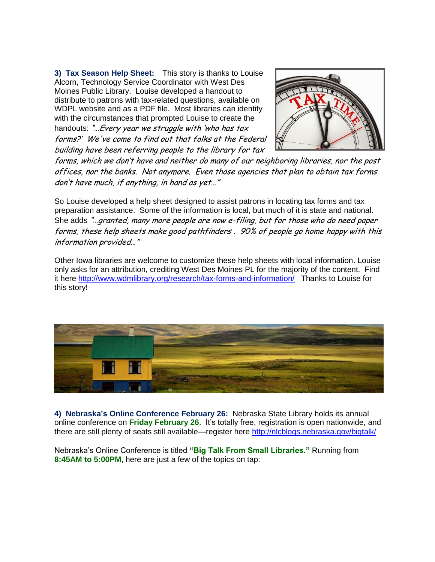**3) Tax Season Help Sheet:** This story is thanks to Louise Alcorn, Technology Service Coordinator with West Des Moines Public Library. Louise developed a handout to distribute to patrons with tax-related questions, available on WDPL website and as a PDF file. Most libraries can identify with the circumstances that prompted Louise to create the handouts: "... Every year we struggle with 'who has tax forms?' We've come to find out that folks at the Federal building have been referring people to the library for tax



forms, which we don't have and neither do many of our neighboring libraries, nor the post offices, nor the banks. Not anymore. Even those agencies that plan to obtain tax forms don't have much, if anything, in hand as yet…"

So Louise developed a help sheet designed to assist patrons in locating tax forms and tax preparation assistance. Some of the information is local, but much of it is state and national. She adds "…granted, many more people are now e-filing, but for those who do need paper forms, these help sheets make good pathfinders . 90% of people go home happy with this information provided…"

Other Iowa libraries are welcome to customize these help sheets with local information. Louise only asks for an attribution, crediting West Des Moines PL for the majority of the content. Find it here<http://www.wdmlibrary.org/research/tax-forms-and-information/>Thanks to Louise for this story!



**4) Nebraska's Online Conference February 26:** Nebraska State Library holds its annual online conference on **Friday February 26**. It's totally free, registration is open nationwide, and there are still plenty of seats still available—register here http://nlcblogs.nebraska.gov/bigtalk/

Nebraska's Online Conference is titled **"Big Talk From Small Libraries."** Running from **8:45AM to 5:00PM**, here are just a few of the topics on tap: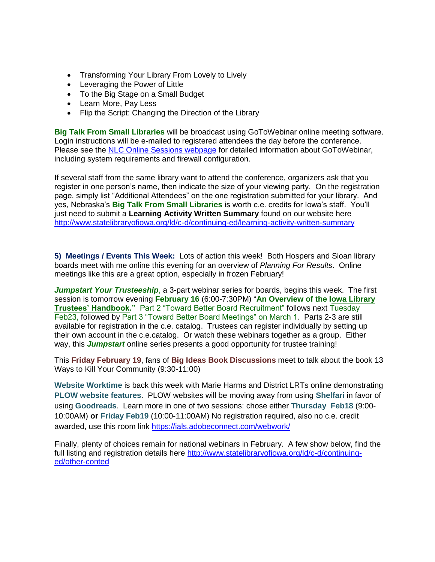- Transforming Your Library From Lovely to Lively
- Leveraging the Power of Little
- To the Big Stage on a Small Budget
- Learn More, Pay Less
- Flip the Script: Changing the Direction of the Library

**Big Talk From Small Libraries** will be broadcast using GoToWebinar online meeting software. Login instructions will be e-mailed to registered attendees the day before the conference. Please see the [NLC Online Sessions webpage](http://nlc.nebraska.gov/calendar/online.aspx) for detailed information about GoToWebinar, including system requirements and firewall configuration.

If several staff from the same library want to attend the conference, organizers ask that you register in one person's name, then indicate the size of your viewing party. On the registration page, simply list "Additional Attendees" on the one registration submitted for your library. And yes, Nebraska's **Big Talk From Small Libraries** is worth c.e. credits for Iowa's staff. You'll just need to submit a **Learning Activity Written Summary** found on our website here <http://www.statelibraryofiowa.org/ld/c-d/continuing-ed/learning-activity-written-summary>

**5) Meetings / Events This Week:** Lots of action this week! Both Hospers and Sloan library boards meet with me online this evening for an overview of *Planning For Results*. Online meetings like this are a great option, especially in frozen February!

*Jumpstart Your Trusteeship*, a 3-part webinar series for boards, begins this week. The first session is tomorrow evening **February 16** (6:00-7:30PM) "**An Overview of the Iowa Library Trustees' Handbook."** Part 2 "Toward Better Board Recruitment" follows next Tuesday Feb23, followed by Part 3 "Toward Better Board Meetings" on March 1. Parts 2-3 are still available for registration in the c.e. catalog. Trustees can register individually by setting up their own account in the c.e.catalog. Or watch these webinars together as a group. Either way, this *Jumpstart* online series presents a good opportunity for trustee training!

This **Friday February 19**, fans of **Big Ideas Book Discussions** meet to talk about the book 13 Ways to Kill Your Community (9:30-11:00)

**Website Worktime** is back this week with Marie Harms and District LRTs online demonstrating **PLOW website features**. PLOW websites will be moving away from using **Shelfari** in favor of using **Goodreads**. Learn more in one of two sessions: chose either **Thursday Feb18** (9:00- 10:00AM) **or Friday Feb19** (10:00-11:00AM) No registration required, also no c.e. credit awarded, use this room link<https://ials.adobeconnect.com/webwork/>

Finally, plenty of choices remain for national webinars in February. A few show below, find the full listing and registration details here [http://www.statelibraryofiowa.org/ld/c-d/continuing](http://www.statelibraryofiowa.org/ld/c-d/continuing-ed/other-conted)[ed/other-conted](http://www.statelibraryofiowa.org/ld/c-d/continuing-ed/other-conted)